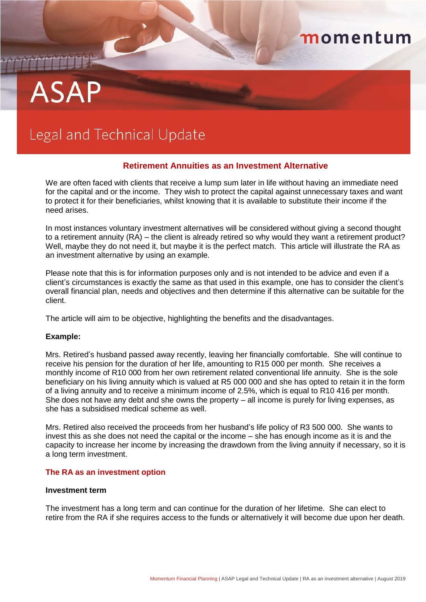# **ASAP**

# Legal and Technical Update

### **Retirement Annuities as an Investment Alternative**

momentum

We are often faced with clients that receive a lump sum later in life without having an immediate need for the capital and or the income. They wish to protect the capital against unnecessary taxes and want to protect it for their beneficiaries, whilst knowing that it is available to substitute their income if the need arises.

In most instances voluntary investment alternatives will be considered without giving a second thought to a retirement annuity (RA) – the client is already retired so why would they want a retirement product? Well, maybe they do not need it, but maybe it is the perfect match. This article will illustrate the RA as an investment alternative by using an example.

Please note that this is for information purposes only and is not intended to be advice and even if a client's circumstances is exactly the same as that used in this example, one has to consider the client's overall financial plan, needs and objectives and then determine if this alternative can be suitable for the client.

The article will aim to be objective, highlighting the benefits and the disadvantages.

#### **Example:**

Mrs. Retired's husband passed away recently, leaving her financially comfortable. She will continue to receive his pension for the duration of her life, amounting to R15 000 per month. She receives a monthly income of R10 000 from her own retirement related conventional life annuity. She is the sole beneficiary on his living annuity which is valued at R5 000 000 and she has opted to retain it in the form of a living annuity and to receive a minimum income of 2.5%, which is equal to R10 416 per month. She does not have any debt and she owns the property – all income is purely for living expenses, as she has a subsidised medical scheme as well.

Mrs. Retired also received the proceeds from her husband's life policy of R3 500 000. She wants to invest this as she does not need the capital or the income – she has enough income as it is and the capacity to increase her income by increasing the drawdown from the living annuity if necessary, so it is a long term investment.

#### **The RA as an investment option**

#### **Investment term**

The investment has a long term and can continue for the duration of her lifetime. She can elect to retire from the RA if she requires access to the funds or alternatively it will become due upon her death.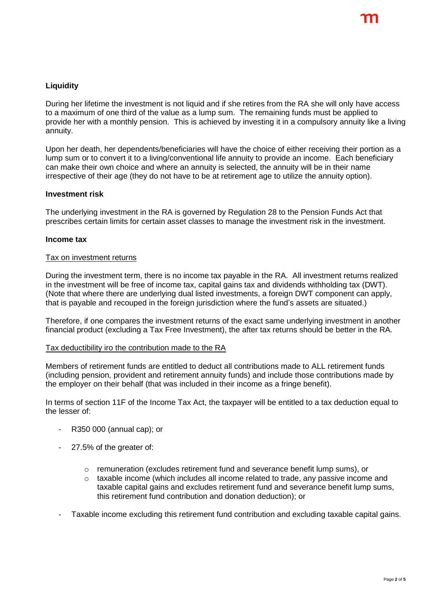## **Liquidity**

During her lifetime the investment is not liquid and if she retires from the RA she will only have access to a maximum of one third of the value as a lump sum. The remaining funds must be applied to provide her with a monthly pension. This is achieved by investing it in a compulsory annuity like a living annuity.

Upon her death, her dependents/beneficiaries will have the choice of either receiving their portion as a lump sum or to convert it to a living/conventional life annuity to provide an income. Each beneficiary can make their own choice and where an annuity is selected, the annuity will be in their name irrespective of their age (they do not have to be at retirement age to utilize the annuity option).

#### **Investment risk**

The underlying investment in the RA is governed by Regulation 28 to the Pension Funds Act that prescribes certain limits for certain asset classes to manage the investment risk in the investment.

#### **Income tax**

#### Tax on investment returns

During the investment term, there is no income tax payable in the RA. All investment returns realized in the investment will be free of income tax, capital gains tax and dividends withholding tax (DWT). (Note that where there are underlying dual listed investments, a foreign DWT component can apply, that is payable and recouped in the foreign jurisdiction where the fund's assets are situated.)

Therefore, if one compares the investment returns of the exact same underlying investment in another financial product (excluding a Tax Free Investment), the after tax returns should be better in the RA.

#### Tax deductibility iro the contribution made to the RA

Members of retirement funds are entitled to deduct all contributions made to ALL retirement funds (including pension, provident and retirement annuity funds) and include those contributions made by the employer on their behalf (that was included in their income as a fringe benefit).

In terms of section 11F of the Income Tax Act, the taxpayer will be entitled to a tax deduction equal to the lesser of:

- R350 000 (annual cap); or
- 27.5% of the greater of:
	- $\circ$  remuneration (excludes retirement fund and severance benefit lump sums), or
	- $\circ$  taxable income (which includes all income related to trade, any passive income and taxable capital gains and excludes retirement fund and severance benefit lump sums, this retirement fund contribution and donation deduction); or
- Taxable income excluding this retirement fund contribution and excluding taxable capital gains.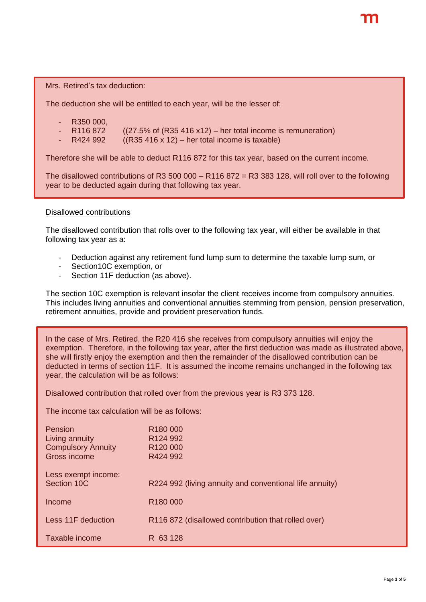Mrs. Retired's tax deduction:

The deduction she will be entitled to each year, will be the lesser of:

- R350 000,
- R116 872 ((27.5% of (R35 416 x12) her total income is remuneration)<br>R424 992 ((R35 416 x 12) her total income is taxable)
- $((R35 416 x 12) her total income is taxable)$

Therefore she will be able to deduct R116 872 for this tax year, based on the current income.

The disallowed contributions of R3 500 000 – R116 872 = R3 383 128, will roll over to the following year to be deducted again during that following tax year.

#### Disallowed contributions

The disallowed contribution that rolls over to the following tax year, will either be available in that following tax year as a:

- Deduction against any retirement fund lump sum to determine the taxable lump sum, or
- Section10C exemption, or
- Section 11F deduction (as above).

The section 10C exemption is relevant insofar the client receives income from compulsory annuities. This includes living annuities and conventional annuities stemming from pension, pension preservation, retirement annuities, provide and provident preservation funds.

In the case of Mrs. Retired, the R20 416 she receives from compulsory annuities will enjoy the exemption. Therefore, in the following tax year, after the first deduction was made as illustrated above, she will firstly enjoy the exemption and then the remainder of the disallowed contribution can be deducted in terms of section 11F. It is assumed the income remains unchanged in the following tax year, the calculation will be as follows:

Disallowed contribution that rolled over from the previous year is R3 373 128.

The income tax calculation will be as follows:

| Pension<br>Living annuity<br><b>Compulsory Annuity</b><br>Gross income | R <sub>180</sub> 000<br>R <sub>124</sub> 992<br>R <sub>120</sub> 000<br>R424 992 |
|------------------------------------------------------------------------|----------------------------------------------------------------------------------|
| Less exempt income:<br>Section 10C                                     | R224 992 (living annuity and conventional life annuity)                          |
| Income                                                                 | R <sub>180</sub> 000                                                             |
| Less 11F deduction                                                     | R116 872 (disallowed contribution that rolled over)                              |
| Taxable income                                                         | R 63 128                                                                         |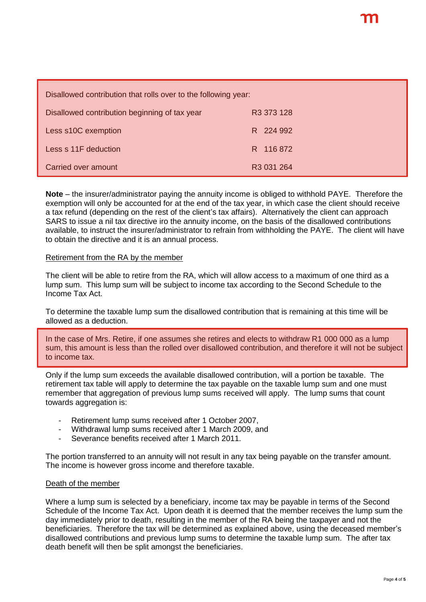| Disallowed contribution that rolls over to the following year: |                        |  |
|----------------------------------------------------------------|------------------------|--|
| Disallowed contribution beginning of tax year                  | R <sub>3</sub> 373 128 |  |
| Less s10C exemption                                            | R 224 992              |  |
| Less s 11F deduction                                           | R 116 872              |  |
| Carried over amount                                            | R <sub>3</sub> 031 264 |  |

**Note** – the insurer/administrator paying the annuity income is obliged to withhold PAYE. Therefore the exemption will only be accounted for at the end of the tax year, in which case the client should receive a tax refund (depending on the rest of the client's tax affairs). Alternatively the client can approach SARS to issue a nil tax directive iro the annuity income, on the basis of the disallowed contributions available, to instruct the insurer/administrator to refrain from withholding the PAYE. The client will have to obtain the directive and it is an annual process.

#### Retirement from the RA by the member

The client will be able to retire from the RA, which will allow access to a maximum of one third as a lump sum. This lump sum will be subject to income tax according to the Second Schedule to the Income Tax Act.

To determine the taxable lump sum the disallowed contribution that is remaining at this time will be allowed as a deduction.

In the case of Mrs. Retire, if one assumes she retires and elects to withdraw R1 000 000 as a lump sum, this amount is less than the rolled over disallowed contribution, and therefore it will not be subject to income tax.

Only if the lump sum exceeds the available disallowed contribution, will a portion be taxable. The retirement tax table will apply to determine the tax payable on the taxable lump sum and one must remember that aggregation of previous lump sums received will apply. The lump sums that count towards aggregation is:

- Retirement lump sums received after 1 October 2007,
- Withdrawal lump sums received after 1 March 2009, and
- Severance benefits received after 1 March 2011.

The portion transferred to an annuity will not result in any tax being payable on the transfer amount. The income is however gross income and therefore taxable.

#### Death of the member

Where a lump sum is selected by a beneficiary, income tax may be payable in terms of the Second Schedule of the Income Tax Act. Upon death it is deemed that the member receives the lump sum the day immediately prior to death, resulting in the member of the RA being the taxpayer and not the beneficiaries. Therefore the tax will be determined as explained above, using the deceased member's disallowed contributions and previous lump sums to determine the taxable lump sum. The after tax death benefit will then be split amongst the beneficiaries.